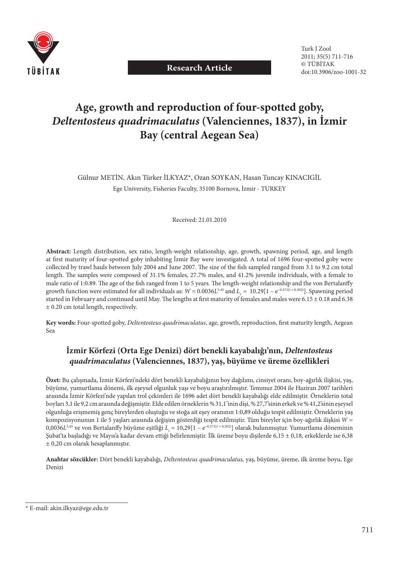

**Research Article**

# **Age, growth and reproduction of four-spotted goby,**  *Deltentosteus quadrimaculatus* **(Valenciennes, 1837), in İzmir Bay (central Aegean Sea)**

Gülnur METİN, Akın Türker İLKYAZ\*, Ozan SOYKAN, Hasan Tuncay KINACIGİL Ege University, Fisheries Faculty, 35100 Bornova, İzmir - TURKEY

Received: 21.01.2010

**Abstract:** Length distribution, sex ratio, length-weight relationship, age, growth, spawning period, age, and length at first maturity of four-spotted goby inhabiting İzmir Bay were investigated. A total of 1696 four-spotted goby were collected by trawl hauls between July 2004 and June 2007. The size of the fish sampled ranged from 3.1 to 9.2 cm total length. The samples were composed of 31.1% females, 27.7% males, and 41.2% juvenile individuals, with a female to male ratio of 1:0.89. The age of the fish ranged from 1 to 5 years. The length-weight relationship and the von Bertalanffy growth function were estimated for all individuals as:  $W = 0.0036L^{3.45}$  and  $L = 10.29[1 - e^{-0.371(t + 0.502)}]$ . Spawning period started in February and continued until May. The lengths at first maturity of females and males were  $6.15 \pm 0.18$  and  $6.38$ ± 0.20 cm total length, respectively.

Key words: Four-spotted goby, *Deltentosteus quadrimaculatus*, age, growth, reproduction, first maturity length, Aegean Sea

# **İzmir Körfezi (Orta Ege Denizi) dört benekli kayabalığı'nın,** *Deltentosteus quadrimaculatus* **(Valenciennes, 1837), yaş, büyüme ve üreme özellikleri**

**Özet:** Bu çalışmada, İzmir Körfezi'ndeki dört benekli kayabalığının boy dağılımı, cinsiyet oranı, boy-ağırlık ilişkisi, yaş, büyüme, yumurtlama dönemi, ilk eşeysel olgunluk yaşı ve boyu araştırılmıştır. Temmuz 2004 ile Haziran 2007 tarihleri arasında İzmir Körfezi'nde yapılan trol çekimleri ile 1696 adet dört benekli kayabalığı elde edilmiştir. Örneklerin total boyları 3,1 ile 9,2 cm arasında değişmiştir. Elde edilen örneklerin % 31,1'inin dişi, % 27,7'sinin erkek ve % 41,2'sinin eşeysel olgunluğa erişmemiş genç bireylerden oluştuğu ve stoğa ait eşey oranının 1:0,89 olduğu tespit edilmiştir. Örneklerin yaş kompozisyonunun 1 ile 5 yaşları arasında değişim gösterdiği tespit edilmiştir. Tüm bireyler için boy-ağırlık ilişkisi *W* = 0,0036*L*<sup>3,45</sup> ve von Bertalanffy büyüme eşitliği  $L_t = 10,29[1 - e^{-0.371(t + 0.502)}]$  olarak bulunmuştur. Yumurtlama döneminin Şubat'ta başladığı ve Mayıs'a kadar devam ettiği belirlenmiştir. İlk üreme boyu dişilerde 6,15 ± 0,18, erkeklerde ise 6,38 ± 0,20 cm olarak hesaplanmıştır.

**Anahtar sözcükler:** Dört benekli kayabalığı, *Deltentosteus quadrimaculatus,* yaş, büyüme, üreme, ilk üreme boyu, Ege Denizi

<sup>\*</sup> E-mail: akin.ilkyaz@ege.edu.tr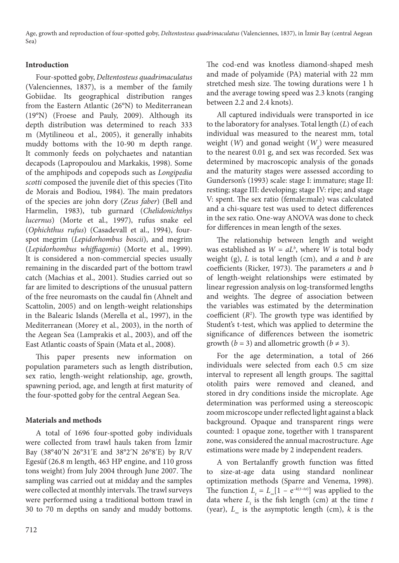Age, growth and reproduction of four-spotted goby, *Deltentosteus quadrimaculatus* (Valenciennes, 1837), in İzmir Bay (central Aegean Sea)

### **Introduction**

Four-spotted goby, *Deltentosteus quadrimaculatus* (Valenciennes, 1837), is a member of the family Gobiidae. Its geographical distribution ranges from the Eastern Atlantic (26°N) to Mediterranean (19°N) (Froese and Pauly, 2009). Although its depth distribution was determined to reach 333 m (Mytilineou et al., 2005), it generally inhabits muddy bottoms with the 10-90 m depth range. It commonly feeds on polychaetes and natantian decapods (Lapropoulou and Markakis, 1998). Some of the amphipods and copepods such as *Longipedia scotti* composed the juvenile diet of this species (Tito de Morais and Bodiou, 1984). The main predators of the species are john dory (*Zeus faber*) (Bell and Harmelin, 1983), tub gurnard (*Chelidonichthys lucernus*) (Morte et al., 1997), rufus snake eel (*Ophichthus rufus*) (Casadevall et al., 1994), fourspot megrim (*Lepidorhombus boscii*), and megrim (*Lepidorhombus whiffi agonis*) (Morte et al., 1999). It is considered a non-commercial species usually remaining in the discarded part of the bottom trawl catch (Machias et al., 2001). Studies carried out so far are limited to descriptions of the unusual pattern of the free neuromasts on the caudal fin (Ahnelt and Scattolin, 2005) and on length-weight relationships in the Balearic Islands (Merella et al., 1997), in the Mediterranean (Morey et al., 2003), in the north of the Aegean Sea (Lamprakis et al., 2003), and off the East Atlantic coasts of Spain (Mata et al., 2008).

This paper presents new information on population parameters such as length distribution, sex ratio, length-weight relationship, age, growth, spawning period, age, and length at first maturity of the four-spotted goby for the central Aegean Sea.

## **Materials and methods**

A total of 1696 four-spotted goby individuals were collected from trawl hauls taken from İzmir Bay (38°40ʹN 26°31ʹE and 38°2ʹN 26°8ʹE) by R/V Egesüf (26.8 m length, 463 HP engine, and 110 gross tons weight) from July 2004 through June 2007. The sampling was carried out at midday and the samples were collected at monthly intervals. The trawl surveys were performed using a traditional bottom trawl in 30 to 70 m depths on sandy and muddy bottoms.

The cod-end was knotless diamond-shaped mesh and made of polyamide (PA) material with 22 mm stretched mesh size. The towing durations were 1 h and the average towing speed was 2.3 knots (ranging between 2.2 and 2.4 knots).

All captured individuals were transported in ice to the laboratory for analyses. Total length (*L*) of each individual was measured to the nearest mm, total weight (*W*) and gonad weight (*W g* ) were measured to the nearest 0.01 g, and sex was recorded. Sex was determined by macroscopic analysis of the gonads and the maturity stages were assessed according to Gunderson's (1993) scale: stage I: immature; stage II: resting; stage III: developing; stage IV: ripe; and stage V: spent. The sex ratio (female:male) was calculated and a chi-square test was used to detect differences in the sex ratio. One-way ANOVA was done to check for differences in mean length of the sexes.

The relationship between length and weight was established as  $W = aL^b$ , where *W* is total body weight (g), *L* is total length (cm), and *a* and *b* are coefficients (Ricker, 1973). The parameters *a* and *b* of length-weight relationships were estimated by linear regression analysis on log-transformed lengths and weights. The degree of association between the variables was estimated by the determination coefficient  $(R^2)$ . The growth type was identified by Student's t-test, which was applied to determine the significance of differences between the isometric growth ( $b = 3$ ) and allometric growth ( $b \neq 3$ ).

For the age determination, a total of 266 individuals were selected from each 0.5 cm size interval to represent all length groups. The sagittal otolith pairs were removed and cleaned, and stored in dry conditions inside the microplate. Age determination was performed using a stereoscopic zoom microscope under reflected light against a black background. Opaque and transparent rings were counted: 1 opaque zone, together with 1 transparent zone, was considered the annual macrostructure. Age estimations were made by 2 independent readers.

A von Bertalanffy growth function was fitted to size-at-age data using standard nonlinear optimization methods (Sparre and Venema, 1998). The function  $L_t = L_{\infty}[1 - e^{-k(t-t_0)}]$  was applied to the data where  $L<sub>t</sub>$  is the fish length (cm) at the time  $t$ (year),  $L_{\alpha}$  is the asymptotic length (cm),  $k$  is the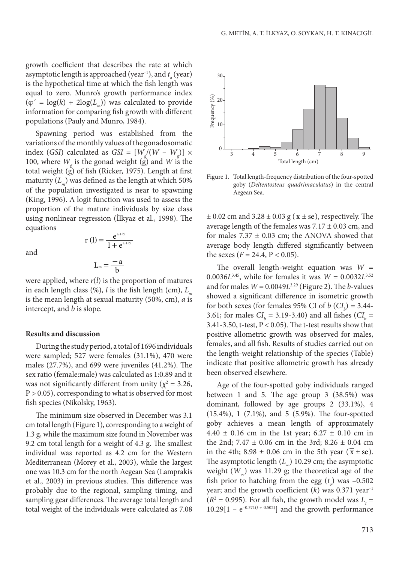growth coefficient that describes the rate at which asymptotic length is approached (year<sup>-1</sup>), and  $t_o$  (year) is the hypothetical time at which the fish length was equal to zero. Munro's growth performance index  $(\varphi' = \log(k) + 2\log(L))$  was calculated to provide information for comparing fish growth with different populations (Pauly and Munro, 1984).

Spawning period was established from the variations of the monthly values of the gonadosomatic index (*GSI*) calculated as  $GSI = [W_g/(W - W_g)] \times$ 100, where  $W_{\rm g}$  is the gonad weight (g) and *W* is the total weight  $(g)$  of fish (Ricker, 1975). Length at first maturity  $(L_m)$  was defined as the length at which 50% of the population investigated is near to spawning (King, 1996). A logit function was used to assess the proportion of the mature individuals by size class using nonlinear regression (İlkyaz et al., 1998). The equations

and

$$
r(l) = \frac{e^{a+bl}}{1 + e^{a+bl}}
$$

$$
L_m = \frac{-a}{b}
$$

 $a + b$ l

+

were applied, where *r*(*l*) is the proportion of matures in each length class  $(\%)$ , *l* is the fish length (cm), *L*<sub>m</sub> is the mean length at sexual maturity (50%, cm), *a* is intercept, and *b* is slope.

#### **Results and discussion**

During the study period, a total of 1696 individuals were sampled; 527 were females (31.1%), 470 were males  $(27.7%)$ , and 699 were juveniles  $(41.2%)$ . The sex ratio (female:male) was calculated as 1:0.89 and it was not significantly different from unity ( $\chi^2$  = 3.26,  $P > 0.05$ ), corresponding to what is observed for most fish species (Nikolsky, 1963).

The minimum size observed in December was 3.1 cm total length (Figure 1), corresponding to a weight of 1.3 g, while the maximum size found in November was 9.2 cm total length for a weight of 4.3 g. The smallest individual was reported as 4.2 cm for the Western Mediterranean (Morey et al., 2003), while the largest one was 10.3 cm for the north Aegean Sea (Lamprakis et al., 2003) in previous studies. This difference was probably due to the regional, sampling timing, and sampling gear differences. The average total length and total weight of the individuals were calculated as 7.08



Figure 1. Total length-frequency distribution of the four-spotted goby (*Deltentosteus quadrimaculatus*) in the central Aegean Sea.

 $\pm$  0.02 cm and 3.28  $\pm$  0.03 g ( $\overline{x}$   $\pm$  se), respectively. The average length of the females was  $7.17 \pm 0.03$  cm, and for males  $7.37 \pm 0.03$  cm; the ANOVA showed that average body length differed significantly between the sexes ( $F = 24.4$ ,  $P < 0.05$ ).

The overall length-weight equation was  $W =$ 0.0036*L*<sup>3,45</sup>, while for females it was  $W = 0.0032L^{3.52}$ and for males  $W = 0.0049L^{3.29}$  (Figure 2). The *b*-values showed a significant difference in isometric growth for both sexes (for females 95% CI of  $b$  ( $CI<sub>b</sub>$ ) = 3.44-3.61; for males  $CI_b = 3.19 - 3.40$  and all fishes  $CI_b =$ 3.41-3.50, t-test,  $P < 0.05$ ). The t-test results show that positive allometric growth was observed for males, females, and all fish. Results of studies carried out on the length-weight relationship of the species (Table) indicate that positive allometric growth has already been observed elsewhere.

Age of the four-spotted goby individuals ranged between 1 and 5. The age group 3  $(38.5%)$  was dominant, followed by age groups 2 (33.1%), 4  $(15.4\%), 1 (7.1\%), and 5 (5.9\%).$  The four-spotted goby achieves a mean length of approximately 4.40  $\pm$  0.16 cm in the 1st year; 6.27  $\pm$  0.10 cm in the 2nd;  $7.47 \pm 0.06$  cm in the 3rd;  $8.26 \pm 0.04$  cm in the 4th;  $8.98 \pm 0.06$  cm in the 5th year  $(x \pm s$ e). The asymptotic length  $(L_>)$  10.29 cm; the asymptotic weight  $(W_$ ) was 11.29 g; the theoretical age of the fish prior to hatching from the egg  $(t_o)$  was  $-0.502$ year; and the growth coefficient  $(k)$  was 0.371 year<sup>-1</sup>  $(R^2 = 0.995)$ . For all fish, the growth model was  $L_t =$  $10.29[1 - e^{-0.371(t + 0.502)}]$  and the growth performance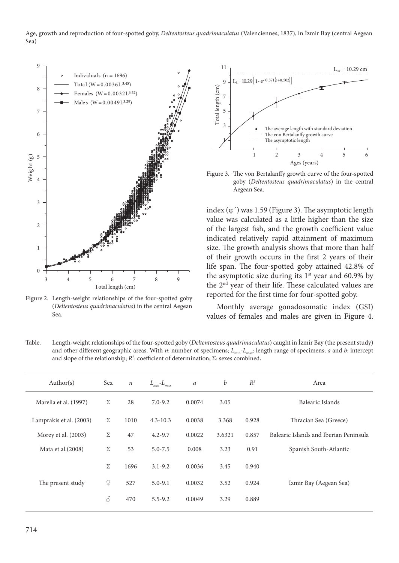Age, growth and reproduction of four-spotted goby, *Deltentosteus quadrimaculatus* (Valenciennes, 1837), in İzmir Bay (central Aegean Sea)



Figure 2. Length-weight relationships of the four-spotted goby (*Deltentosteus quadrimaculatus*) in the central Aegean Sea.



Figure 3. The von Bertalanffy growth curve of the four-spotted goby (*Deltentosteus quadrimaculatus*) in the central Aegean Sea.

index  $(\varphi')$  was 1.59 (Figure 3). The asymptotic length value was calculated as a little higher than the size of the largest fish, and the growth coefficient value indicated relatively rapid attainment of maximum size. The growth analysis shows that more than half of their growth occurs in the first 2 years of their life span. The four-spotted goby attained 42.8% of the asymptotic size during its  $1<sup>st</sup>$  year and 60.9% by the 2<sup>nd</sup> year of their life. These calculated values are reported for the first time for four-spotted goby.

Monthly average gonadosomatic index (GSI) values of females and males are given in Figure 4.

Table. Length-weight relationships of the four-spotted goby (*Deltentosteus quadrimaculatus*) caught in İzmir Bay (the present study) and other different geographic areas. With *n*: number of specimens;  $L_{min}$ - $L_{max}$ : length range of specimens; *a* and *b*: intercept and slope of the relationship;  $R^2$ : coefficient of determination;  $\Sigma$ : sexes combined.

| Author(s)               | Sex                                                                                                                                         | $\boldsymbol{n}$ | $L_{\scriptscriptstyle min}\text{-}L_{\scriptscriptstyle max}$ | $\boldsymbol{a}$ | b      | $R^2$ | Area                                   |
|-------------------------|---------------------------------------------------------------------------------------------------------------------------------------------|------------------|----------------------------------------------------------------|------------------|--------|-------|----------------------------------------|
| Marella et al. (1997)   | Σ                                                                                                                                           | 28               | $7.0 - 9.2$                                                    | 0.0074           | 3.05   |       | Balearic Islands                       |
| Lamprakis et al. (2003) | Σ                                                                                                                                           | 1010             | $4.3 - 10.3$                                                   | 0.0038           | 3.368  | 0.928 | Thracian Sea (Greece)                  |
| Morey et al. (2003)     | Σ                                                                                                                                           | 47               | $4.2 - 9.7$                                                    | 0.0022           | 3.6321 | 0.857 | Balearic Islands and Iberian Peninsula |
| Mata et al. (2008)      | Σ                                                                                                                                           | 53               | $5.0 - 7.5$                                                    | 0.008            | 3.23   | 0.91  | Spanish South-Atlantic                 |
|                         | Σ                                                                                                                                           | 1696             | $3.1 - 9.2$                                                    | 0.0036           | 3.45   | 0.940 |                                        |
| The present study       | $\Omega$                                                                                                                                    | 527              | $5.0 - 9.1$                                                    | 0.0032           | 3.52   | 0.924 | İzmir Bay (Aegean Sea)                 |
|                         | $\mathcal{S}% _{M_{1},M_{2}}^{\ast }=\mathcal{S}_{M_{1},M_{2}}^{\ast }=\mathcal{S}_{M_{1},M_{2}}^{\ast }=\mathcal{S}_{M_{1},M_{2}}^{\ast }$ | 470              | $5.5 - 9.2$                                                    | 0.0049           | 3.29   | 0.889 |                                        |
|                         |                                                                                                                                             |                  |                                                                |                  |        |       |                                        |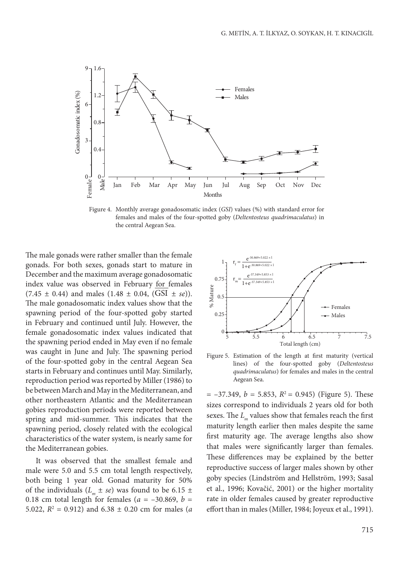

Figure 4. Monthly average gonadosomatic index (*GSI*) values (%) with standard error for females and males of the four-spotted goby (*Deltentosteus quadrimaculatus*) in the central Aegean Sea.

The male gonads were rather smaller than the female gonads. For both sexes, gonads start to mature in December and the maximum average gonadosomatic index value was observed in February for females  $(7.45 \pm 0.44)$  and males  $(1.48 \pm 0.04, (GSI \pm se))$ . The male gonadosomatic index values show that the spawning period of the four-spotted goby started in February and continued until July. However, the female gonadosomatic index values indicated that the spawning period ended in May even if no female was caught in June and July. The spawning period of the four-spotted goby in the central Aegean Sea starts in February and continues until May. Similarly, reproduction period was reported by Miller (1986) to be between March and May in the Mediterranean, and other northeastern Atlantic and the Mediterranean gobies reproduction periods were reported between spring and mid-summer. This indicates that the spawning period, closely related with the ecological characteristics of the water system, is nearly same for the Mediterranean gobies.

It was observed that the smallest female and male were 5.0 and 5.5 cm total length respectively, both being 1 year old. Gonad maturity for 50% of the individuals  $(L_m \pm s\epsilon)$  was found to be 6.15  $\pm$ 0.18 cm total length for females ( $a = -30.869$ ,  $b =$ 5.022,  $R^2 = 0.912$ ) and  $6.38 \pm 0.20$  cm for males (*a* 



Figure 5. Estimation of the length at first maturity (vertical lines) of the four-spotted goby (*Deltentosteus quadrimaculatus*) for females and males in the central Aegean Sea.

 $= -37.349$ ,  $b = 5.853$ ,  $R^2 = 0.945$ ) (Figure 5). These sizes correspond to individuals 2 years old for both sexes. The *L<sub>m</sub>* values show that females reach the first maturity length earlier then males despite the same first maturity age. The average lengths also show that males were significantly larger than females. These differences may be explained by the better reproductive success of larger males shown by other goby species (Lindström and Hellström, 1993; Sasal et al., 1996; Kovačić, 2001) or the higher mortality rate in older females caused by greater reproductive effort than in males (Miller, 1984; Joyeux et al., 1991).